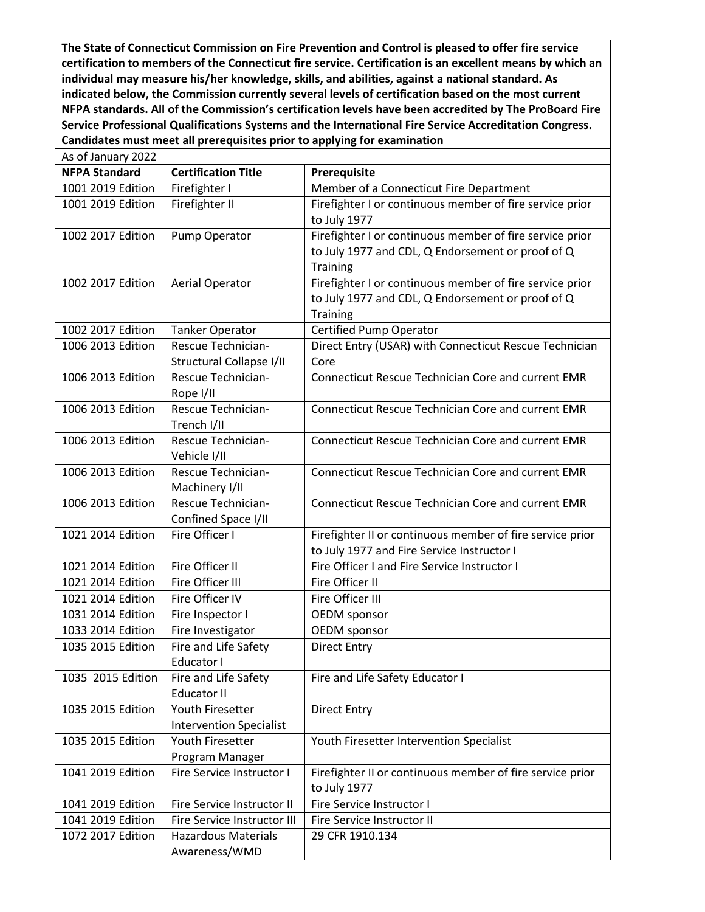**The State of Connecticut Commission on Fire Prevention and Control is pleased to offer fire service certification to members of the Connecticut fire service. Certification is an excellent means by which an individual may measure his/her knowledge, skills, and abilities, against a national standard. As indicated below, the Commission currently several levels of certification based on the most current NFPA standards. All of the Commission's certification levels have been accredited by The ProBoard Fire Service Professional Qualifications Systems and the International Fire Service Accreditation Congress. Candidates must meet all prerequisites prior to applying for examination**

| As of January 2022 |                      |                                   |                                                           |
|--------------------|----------------------|-----------------------------------|-----------------------------------------------------------|
|                    | <b>NFPA Standard</b> | <b>Certification Title</b>        | Prerequisite                                              |
|                    | 1001 2019 Edition    | Firefighter I                     | Member of a Connecticut Fire Department                   |
|                    | 1001 2019 Edition    | Firefighter II                    | Firefighter I or continuous member of fire service prior  |
|                    |                      |                                   | to July 1977                                              |
|                    | 1002 2017 Edition    | Pump Operator                     | Firefighter I or continuous member of fire service prior  |
|                    |                      |                                   | to July 1977 and CDL, Q Endorsement or proof of Q         |
|                    |                      |                                   | Training                                                  |
|                    | 1002 2017 Edition    | Aerial Operator                   | Firefighter I or continuous member of fire service prior  |
|                    |                      |                                   | to July 1977 and CDL, Q Endorsement or proof of Q         |
|                    |                      |                                   | Training                                                  |
|                    | 1002 2017 Edition    | <b>Tanker Operator</b>            | <b>Certified Pump Operator</b>                            |
|                    | 1006 2013 Edition    | Rescue Technician-                | Direct Entry (USAR) with Connecticut Rescue Technician    |
|                    |                      | Structural Collapse I/II          | Core                                                      |
|                    | 1006 2013 Edition    | Rescue Technician-                | <b>Connecticut Rescue Technician Core and current EMR</b> |
|                    | 1006 2013 Edition    | Rope I/II<br>Rescue Technician-   |                                                           |
|                    |                      |                                   | <b>Connecticut Rescue Technician Core and current EMR</b> |
|                    | 1006 2013 Edition    | Trench I/II<br>Rescue Technician- | <b>Connecticut Rescue Technician Core and current EMR</b> |
|                    |                      | Vehicle I/II                      |                                                           |
|                    | 1006 2013 Edition    | Rescue Technician-                | <b>Connecticut Rescue Technician Core and current EMR</b> |
|                    |                      | Machinery I/II                    |                                                           |
|                    | 1006 2013 Edition    | Rescue Technician-                | <b>Connecticut Rescue Technician Core and current EMR</b> |
|                    |                      | Confined Space I/II               |                                                           |
|                    | 1021 2014 Edition    | Fire Officer I                    | Firefighter II or continuous member of fire service prior |
|                    |                      |                                   | to July 1977 and Fire Service Instructor I                |
|                    | 1021 2014 Edition    | Fire Officer II                   | Fire Officer I and Fire Service Instructor I              |
|                    | 1021 2014 Edition    | Fire Officer III                  | Fire Officer II                                           |
|                    | 1021 2014 Edition    | Fire Officer IV                   | Fire Officer III                                          |
|                    | 1031 2014 Edition    | Fire Inspector I                  | OEDM sponsor                                              |
|                    | 1033 2014 Edition    | Fire Investigator                 | <b>OEDM</b> sponsor                                       |
|                    | 1035 2015 Edition    | Fire and Life Safety              | <b>Direct Entry</b>                                       |
|                    |                      | Educator I                        |                                                           |
|                    | 1035 2015 Edition    | Fire and Life Safety              | Fire and Life Safety Educator I                           |
|                    |                      | <b>Educator II</b>                |                                                           |
|                    | 1035 2015 Edition    | Youth Firesetter                  | <b>Direct Entry</b>                                       |
|                    |                      | <b>Intervention Specialist</b>    |                                                           |
|                    | 1035 2015 Edition    | Youth Firesetter                  | Youth Firesetter Intervention Specialist                  |
|                    |                      | Program Manager                   |                                                           |
|                    | 1041 2019 Edition    | Fire Service Instructor I         | Firefighter II or continuous member of fire service prior |
|                    |                      |                                   | to July 1977                                              |
|                    | 1041 2019 Edition    | Fire Service Instructor II        | Fire Service Instructor I                                 |
|                    | 1041 2019 Edition    | Fire Service Instructor III       | Fire Service Instructor II                                |
|                    | 1072 2017 Edition    | <b>Hazardous Materials</b>        | 29 CFR 1910.134                                           |
|                    |                      | Awareness/WMD                     |                                                           |